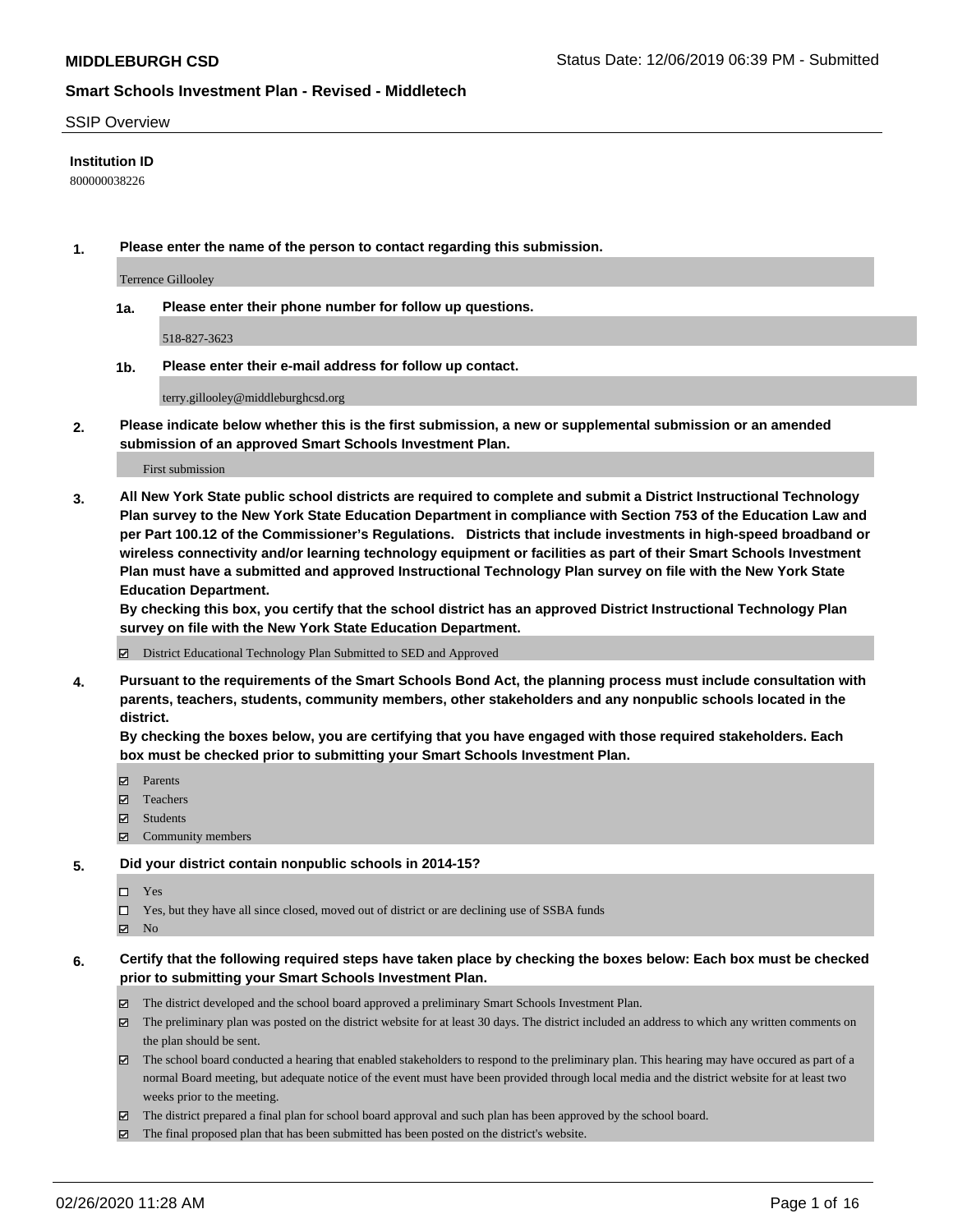#### SSIP Overview

#### **Institution ID**

800000038226

**1. Please enter the name of the person to contact regarding this submission.**

Terrence Gillooley

**1a. Please enter their phone number for follow up questions.**

518-827-3623

**1b. Please enter their e-mail address for follow up contact.**

terry.gillooley@middleburghcsd.org

**2. Please indicate below whether this is the first submission, a new or supplemental submission or an amended submission of an approved Smart Schools Investment Plan.**

#### First submission

**3. All New York State public school districts are required to complete and submit a District Instructional Technology Plan survey to the New York State Education Department in compliance with Section 753 of the Education Law and per Part 100.12 of the Commissioner's Regulations. Districts that include investments in high-speed broadband or wireless connectivity and/or learning technology equipment or facilities as part of their Smart Schools Investment Plan must have a submitted and approved Instructional Technology Plan survey on file with the New York State Education Department.** 

**By checking this box, you certify that the school district has an approved District Instructional Technology Plan survey on file with the New York State Education Department.**

District Educational Technology Plan Submitted to SED and Approved

**4. Pursuant to the requirements of the Smart Schools Bond Act, the planning process must include consultation with parents, teachers, students, community members, other stakeholders and any nonpublic schools located in the district.** 

**By checking the boxes below, you are certifying that you have engaged with those required stakeholders. Each box must be checked prior to submitting your Smart Schools Investment Plan.**

- **マ** Parents
- Teachers
- Students
- Community members

#### **5. Did your district contain nonpublic schools in 2014-15?**

 $\neg$  Yes

Yes, but they have all since closed, moved out of district or are declining use of SSBA funds

**Z** No

#### **6. Certify that the following required steps have taken place by checking the boxes below: Each box must be checked prior to submitting your Smart Schools Investment Plan.**

- The district developed and the school board approved a preliminary Smart Schools Investment Plan.
- $\boxtimes$  The preliminary plan was posted on the district website for at least 30 days. The district included an address to which any written comments on the plan should be sent.
- $\boxtimes$  The school board conducted a hearing that enabled stakeholders to respond to the preliminary plan. This hearing may have occured as part of a normal Board meeting, but adequate notice of the event must have been provided through local media and the district website for at least two weeks prior to the meeting.
- The district prepared a final plan for school board approval and such plan has been approved by the school board.
- $\boxtimes$  The final proposed plan that has been submitted has been posted on the district's website.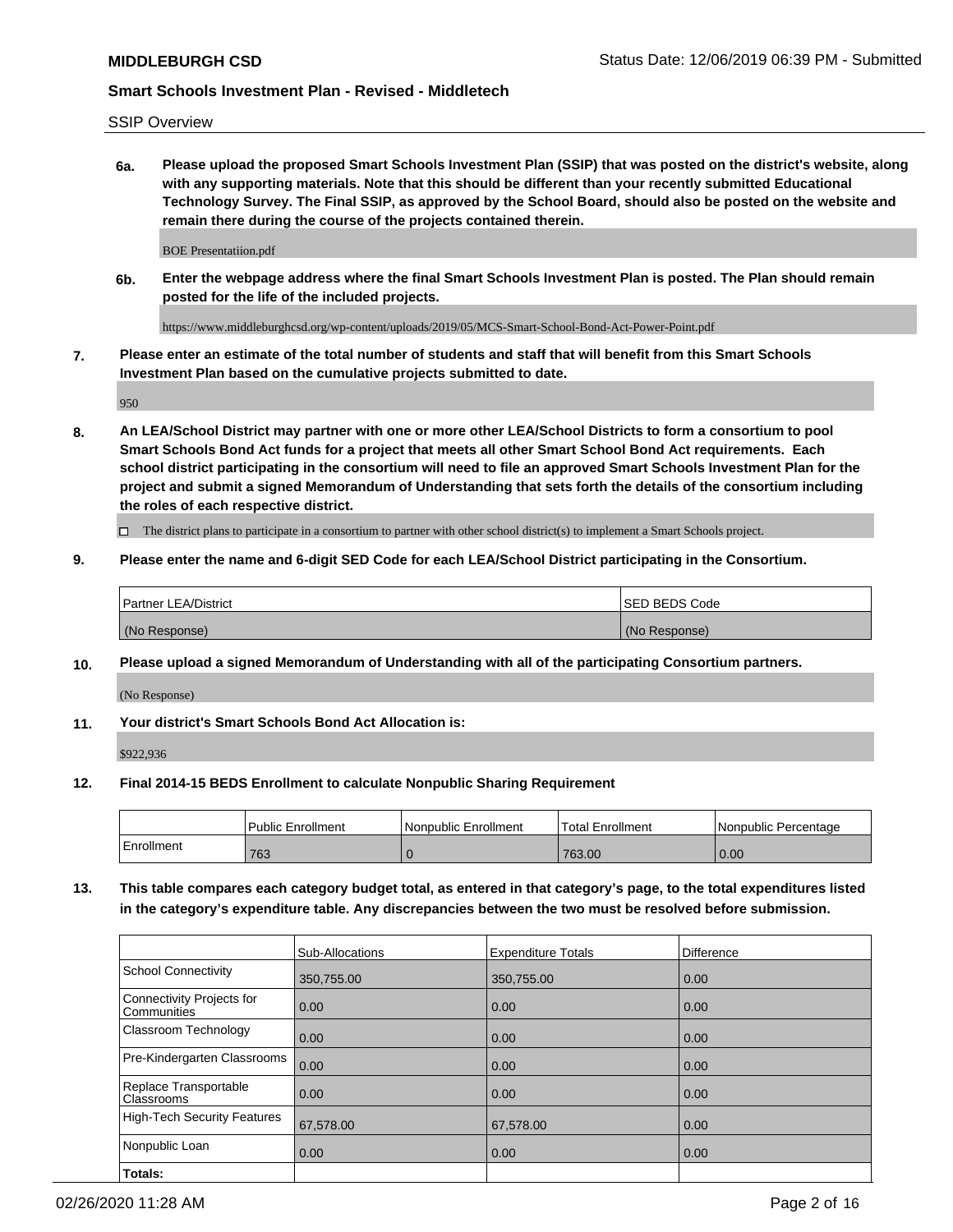SSIP Overview

**6a. Please upload the proposed Smart Schools Investment Plan (SSIP) that was posted on the district's website, along with any supporting materials. Note that this should be different than your recently submitted Educational Technology Survey. The Final SSIP, as approved by the School Board, should also be posted on the website and remain there during the course of the projects contained therein.**

BOE Presentatiion.pdf

**6b. Enter the webpage address where the final Smart Schools Investment Plan is posted. The Plan should remain posted for the life of the included projects.**

https://www.middleburghcsd.org/wp-content/uploads/2019/05/MCS-Smart-School-Bond-Act-Power-Point.pdf

**7. Please enter an estimate of the total number of students and staff that will benefit from this Smart Schools Investment Plan based on the cumulative projects submitted to date.**

950

**8. An LEA/School District may partner with one or more other LEA/School Districts to form a consortium to pool Smart Schools Bond Act funds for a project that meets all other Smart School Bond Act requirements. Each school district participating in the consortium will need to file an approved Smart Schools Investment Plan for the project and submit a signed Memorandum of Understanding that sets forth the details of the consortium including the roles of each respective district.**

 $\Box$  The district plans to participate in a consortium to partner with other school district(s) to implement a Smart Schools project.

#### **9. Please enter the name and 6-digit SED Code for each LEA/School District participating in the Consortium.**

| Partner LEA/District | <b>ISED BEDS Code</b> |
|----------------------|-----------------------|
| (No Response)        | (No Response)         |

#### **10. Please upload a signed Memorandum of Understanding with all of the participating Consortium partners.**

(No Response)

**11. Your district's Smart Schools Bond Act Allocation is:**

\$922,936

#### **12. Final 2014-15 BEDS Enrollment to calculate Nonpublic Sharing Requirement**

|            | <b>Public Enrollment</b> | Nonpublic Enrollment | <b>Total Enrollment</b> | l Nonpublic Percentage |
|------------|--------------------------|----------------------|-------------------------|------------------------|
| Enrollment | 763                      |                      | 763.00                  | 0.00                   |

**13. This table compares each category budget total, as entered in that category's page, to the total expenditures listed in the category's expenditure table. Any discrepancies between the two must be resolved before submission.**

|                                          | Sub-Allocations | <b>Expenditure Totals</b> | <b>Difference</b> |
|------------------------------------------|-----------------|---------------------------|-------------------|
| <b>School Connectivity</b>               | 350,755.00      | 350,755.00                | 0.00              |
| Connectivity Projects for<br>Communities | 0.00            | 0.00                      | 0.00              |
| Classroom Technology                     | 0.00            | 0.00                      | 0.00              |
| Pre-Kindergarten Classrooms              | 0.00            | 0.00                      | 0.00              |
| Replace Transportable<br>Classrooms      | 0.00            | 0.00                      | 0.00              |
| High-Tech Security Features              | 67,578.00       | 67,578.00                 | 0.00              |
| Nonpublic Loan                           | 0.00            | 0.00                      | 0.00              |
| Totals:                                  |                 |                           |                   |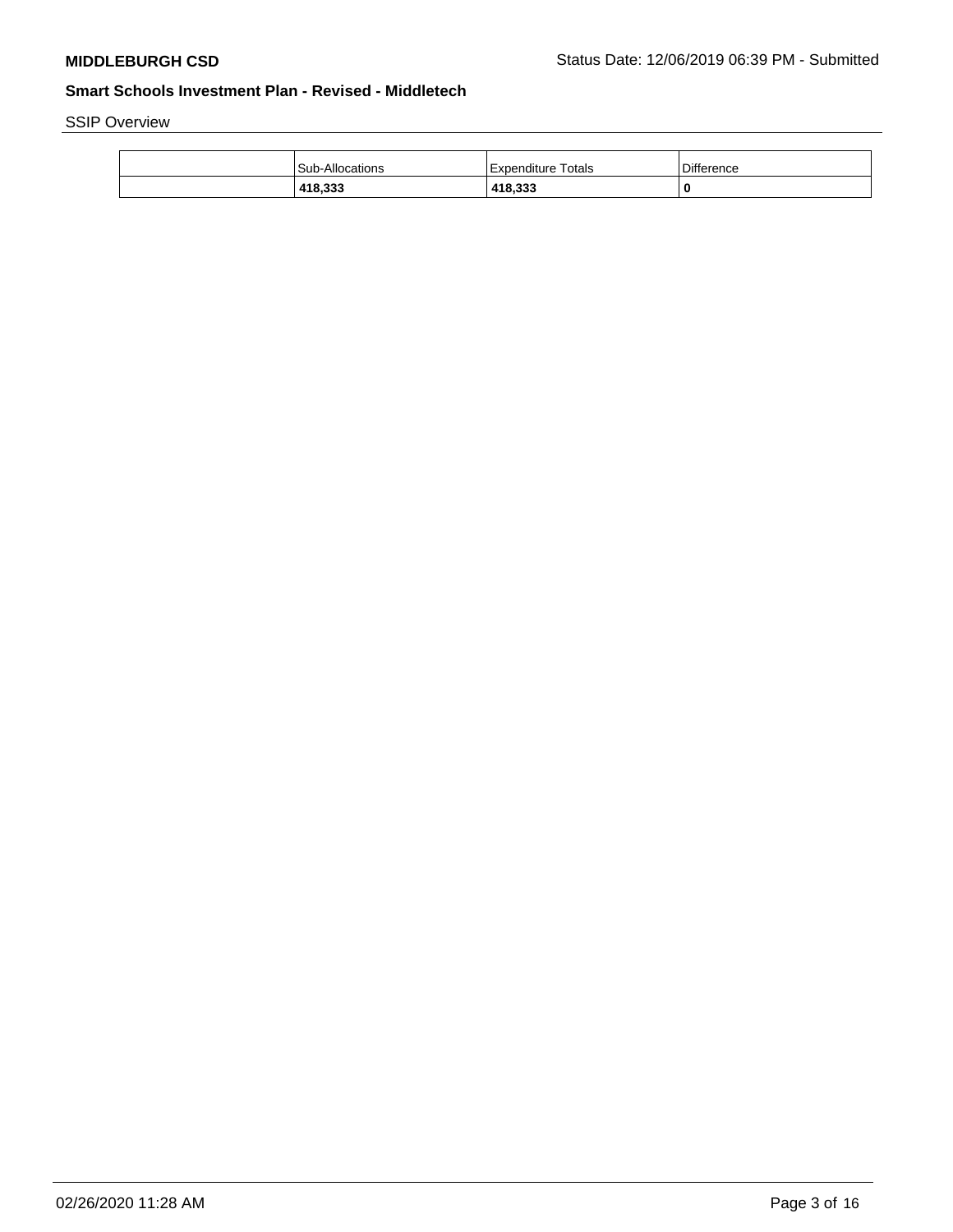SSIP Overview

| <b>Sub-Allocations</b> | Totals<br>l Expenditure | <b>Difference</b> |
|------------------------|-------------------------|-------------------|
| 418,333                | 418,333                 | 0                 |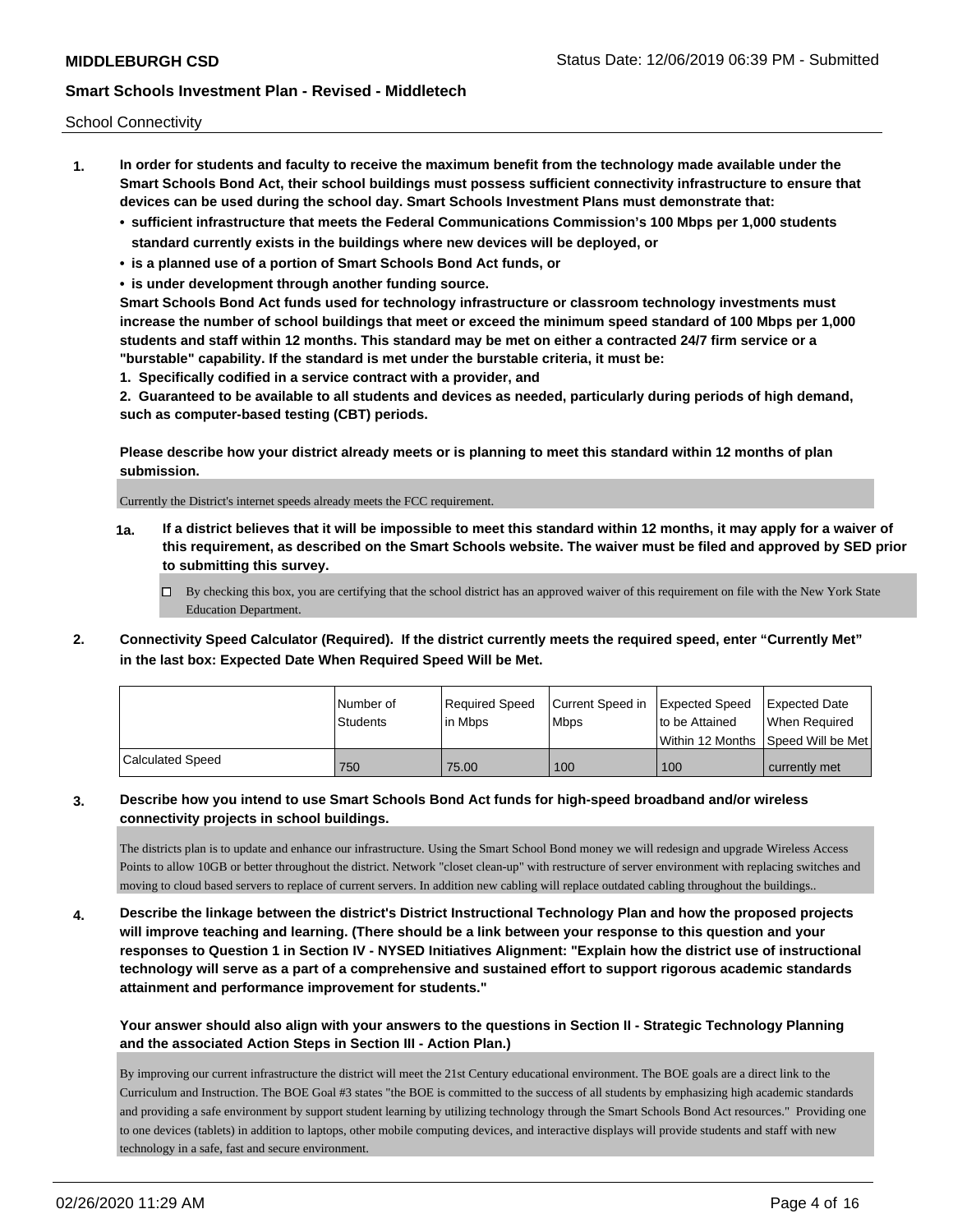School Connectivity

- **1. In order for students and faculty to receive the maximum benefit from the technology made available under the Smart Schools Bond Act, their school buildings must possess sufficient connectivity infrastructure to ensure that devices can be used during the school day. Smart Schools Investment Plans must demonstrate that:**
	- **• sufficient infrastructure that meets the Federal Communications Commission's 100 Mbps per 1,000 students standard currently exists in the buildings where new devices will be deployed, or**
	- **• is a planned use of a portion of Smart Schools Bond Act funds, or**
	- **• is under development through another funding source.**

**Smart Schools Bond Act funds used for technology infrastructure or classroom technology investments must increase the number of school buildings that meet or exceed the minimum speed standard of 100 Mbps per 1,000 students and staff within 12 months. This standard may be met on either a contracted 24/7 firm service or a "burstable" capability. If the standard is met under the burstable criteria, it must be:**

**1. Specifically codified in a service contract with a provider, and**

**2. Guaranteed to be available to all students and devices as needed, particularly during periods of high demand, such as computer-based testing (CBT) periods.**

**Please describe how your district already meets or is planning to meet this standard within 12 months of plan submission.**

Currently the District's internet speeds already meets the FCC requirement.

**1a. If a district believes that it will be impossible to meet this standard within 12 months, it may apply for a waiver of this requirement, as described on the Smart Schools website. The waiver must be filed and approved by SED prior to submitting this survey.**

 $\Box$  By checking this box, you are certifying that the school district has an approved waiver of this requirement on file with the New York State Education Department.

**2. Connectivity Speed Calculator (Required). If the district currently meets the required speed, enter "Currently Met" in the last box: Expected Date When Required Speed Will be Met.**

|                  | l Number of<br>Students | Required Speed<br>In Mbps | Current Speed in<br><b>Mbps</b> | Expected Speed<br>to be Attained | Expected Date<br>When Required          |
|------------------|-------------------------|---------------------------|---------------------------------|----------------------------------|-----------------------------------------|
|                  |                         |                           |                                 |                                  | l Within 12 Months ISpeed Will be Met l |
| Calculated Speed | 750                     | 75.00                     | 100                             | 100                              | currently met                           |

### **3. Describe how you intend to use Smart Schools Bond Act funds for high-speed broadband and/or wireless connectivity projects in school buildings.**

The districts plan is to update and enhance our infrastructure. Using the Smart School Bond money we will redesign and upgrade Wireless Access Points to allow 10GB or better throughout the district. Network "closet clean-up" with restructure of server environment with replacing switches and moving to cloud based servers to replace of current servers. In addition new cabling will replace outdated cabling throughout the buildings..

**4. Describe the linkage between the district's District Instructional Technology Plan and how the proposed projects will improve teaching and learning. (There should be a link between your response to this question and your responses to Question 1 in Section IV - NYSED Initiatives Alignment: "Explain how the district use of instructional technology will serve as a part of a comprehensive and sustained effort to support rigorous academic standards attainment and performance improvement for students."** 

# **Your answer should also align with your answers to the questions in Section II - Strategic Technology Planning and the associated Action Steps in Section III - Action Plan.)**

By improving our current infrastructure the district will meet the 21st Century educational environment. The BOE goals are a direct link to the Curriculum and Instruction. The BOE Goal #3 states "the BOE is committed to the success of all students by emphasizing high academic standards and providing a safe environment by support student learning by utilizing technology through the Smart Schools Bond Act resources." Providing one to one devices (tablets) in addition to laptops, other mobile computing devices, and interactive displays will provide students and staff with new technology in a safe, fast and secure environment.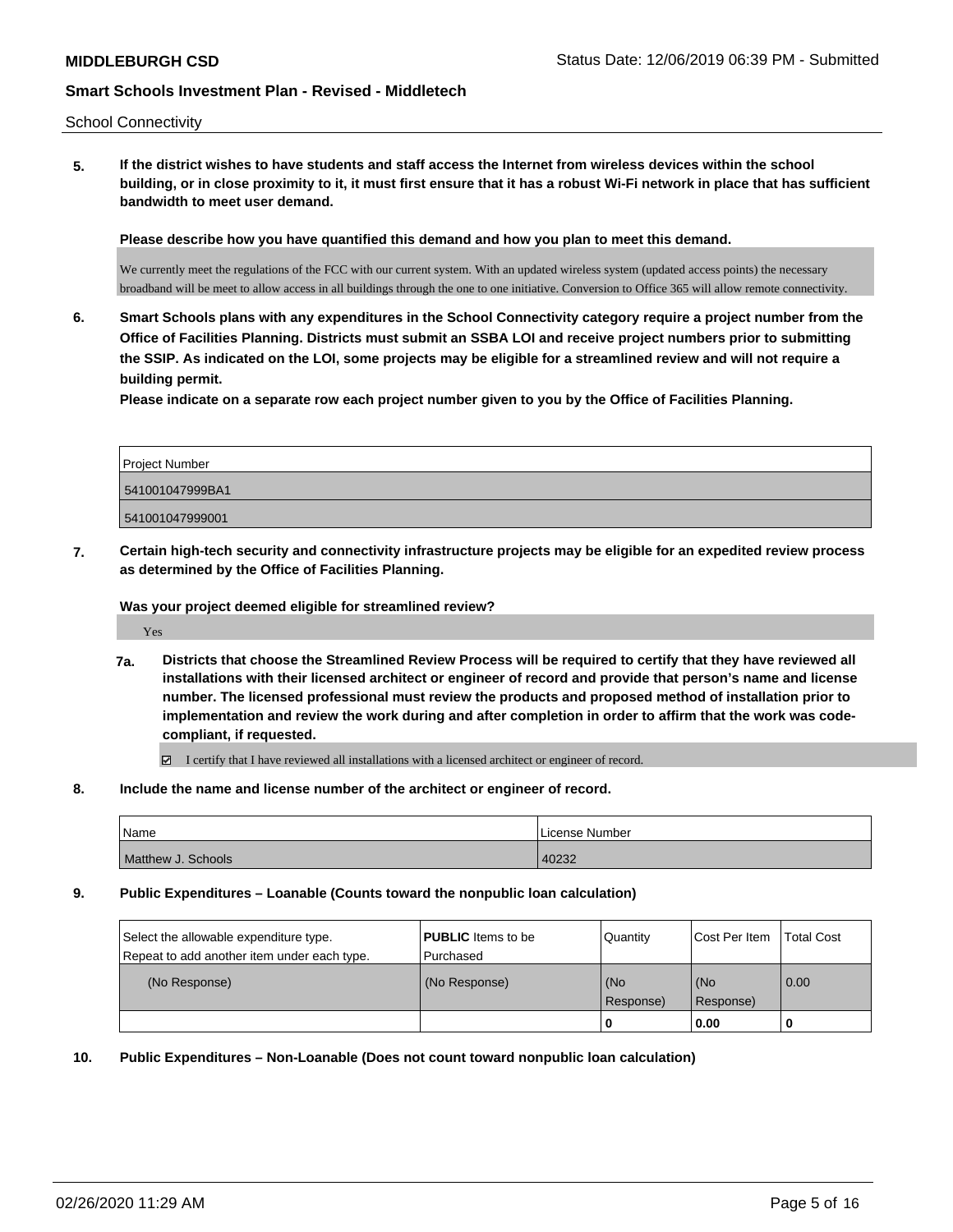**5. If the district wishes to have students and staff access the Internet from wireless devices within the school building, or in close proximity to it, it must first ensure that it has a robust Wi-Fi network in place that has sufficient bandwidth to meet user demand.**

**Please describe how you have quantified this demand and how you plan to meet this demand.**

We currently meet the regulations of the FCC with our current system. With an updated wireless system (updated access points) the necessary broadband will be meet to allow access in all buildings through the one to one initiative. Conversion to Office 365 will allow remote connectivity.

**6. Smart Schools plans with any expenditures in the School Connectivity category require a project number from the Office of Facilities Planning. Districts must submit an SSBA LOI and receive project numbers prior to submitting the SSIP. As indicated on the LOI, some projects may be eligible for a streamlined review and will not require a building permit.**

**Please indicate on a separate row each project number given to you by the Office of Facilities Planning.**

| Project Number  |  |
|-----------------|--|
| 541001047999BA1 |  |
| 541001047999001 |  |

**7. Certain high-tech security and connectivity infrastructure projects may be eligible for an expedited review process as determined by the Office of Facilities Planning.**

**Was your project deemed eligible for streamlined review?**

Yes

**7a. Districts that choose the Streamlined Review Process will be required to certify that they have reviewed all installations with their licensed architect or engineer of record and provide that person's name and license number. The licensed professional must review the products and proposed method of installation prior to implementation and review the work during and after completion in order to affirm that the work was codecompliant, if requested.**

 $\boxtimes$  I certify that I have reviewed all installations with a licensed architect or engineer of record.

#### **8. Include the name and license number of the architect or engineer of record.**

| <i>Name</i>        | License Number |
|--------------------|----------------|
| Matthew J. Schools | 40232          |

#### **9. Public Expenditures – Loanable (Counts toward the nonpublic loan calculation)**

| Select the allowable expenditure type.<br>Repeat to add another item under each type. | <b>PUBLIC</b> Items to be<br>l Purchased | Quantity  | Cost Per Item | <b>Total Cost</b> |
|---------------------------------------------------------------------------------------|------------------------------------------|-----------|---------------|-------------------|
| (No Response)                                                                         | (No Response)                            | (No       | (No           | 0.00              |
|                                                                                       |                                          | Response) | Response)     |                   |
|                                                                                       |                                          | 0         | 0.00          |                   |

**10. Public Expenditures – Non-Loanable (Does not count toward nonpublic loan calculation)**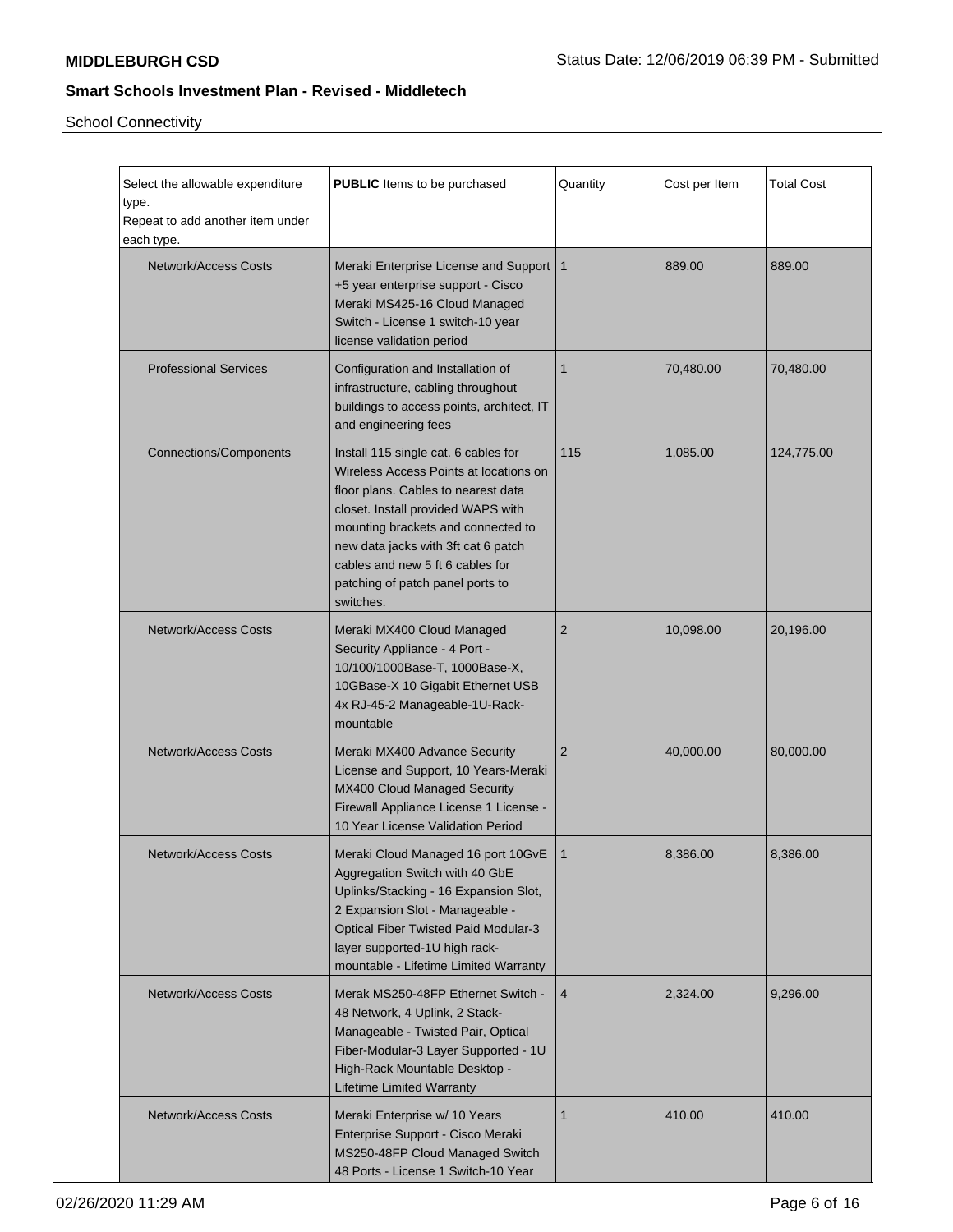School Connectivity

| Select the allowable expenditure<br>type.<br>Repeat to add another item under<br>each type. | <b>PUBLIC</b> Items to be purchased                                                                                                                                                                                                                                                                                           | Quantity       | Cost per Item | <b>Total Cost</b> |
|---------------------------------------------------------------------------------------------|-------------------------------------------------------------------------------------------------------------------------------------------------------------------------------------------------------------------------------------------------------------------------------------------------------------------------------|----------------|---------------|-------------------|
| <b>Network/Access Costs</b>                                                                 | Meraki Enterprise License and Support   1<br>+5 year enterprise support - Cisco<br>Meraki MS425-16 Cloud Managed<br>Switch - License 1 switch-10 year<br>license validation period                                                                                                                                            |                | 889.00        | 889.00            |
| <b>Professional Services</b>                                                                | Configuration and Installation of<br>infrastructure, cabling throughout<br>buildings to access points, architect, IT<br>and engineering fees                                                                                                                                                                                  | 1              | 70,480.00     | 70,480.00         |
| <b>Connections/Components</b>                                                               | Install 115 single cat. 6 cables for<br>Wireless Access Points at locations on<br>floor plans. Cables to nearest data<br>closet. Install provided WAPS with<br>mounting brackets and connected to<br>new data jacks with 3ft cat 6 patch<br>cables and new 5 ft 6 cables for<br>patching of patch panel ports to<br>switches. | 115            | 1,085.00      | 124,775.00        |
| <b>Network/Access Costs</b>                                                                 | Meraki MX400 Cloud Managed<br>Security Appliance - 4 Port -<br>10/100/1000Base-T, 1000Base-X,<br>10GBase-X 10 Gigabit Ethernet USB<br>4x RJ-45-2 Manageable-1U-Rack-<br>mountable                                                                                                                                             | 2              | 10,098.00     | 20,196.00         |
| <b>Network/Access Costs</b>                                                                 | Meraki MX400 Advance Security<br>License and Support, 10 Years-Meraki<br>MX400 Cloud Managed Security<br>Firewall Appliance License 1 License -<br>10 Year License Validation Period                                                                                                                                          | $\overline{2}$ | 40,000.00     | 80,000.00         |
| <b>Network/Access Costs</b>                                                                 | Meraki Cloud Managed 16 port 10GvE   1<br>Aggregation Switch with 40 GbE<br>Uplinks/Stacking - 16 Expansion Slot,<br>2 Expansion Slot - Manageable -<br><b>Optical Fiber Twisted Paid Modular-3</b><br>layer supported-1U high rack-<br>mountable - Lifetime Limited Warranty                                                 |                | 8,386.00      | 8,386.00          |
| <b>Network/Access Costs</b>                                                                 | Merak MS250-48FP Ethernet Switch -<br>48 Network, 4 Uplink, 2 Stack-<br>Manageable - Twisted Pair, Optical<br>Fiber-Modular-3 Layer Supported - 1U<br>High-Rack Mountable Desktop -<br><b>Lifetime Limited Warranty</b>                                                                                                       | 4              | 2,324.00      | 9,296.00          |
| <b>Network/Access Costs</b>                                                                 | Meraki Enterprise w/ 10 Years<br>Enterprise Support - Cisco Meraki<br>MS250-48FP Cloud Managed Switch<br>48 Ports - License 1 Switch-10 Year                                                                                                                                                                                  | 1              | 410.00        | 410.00            |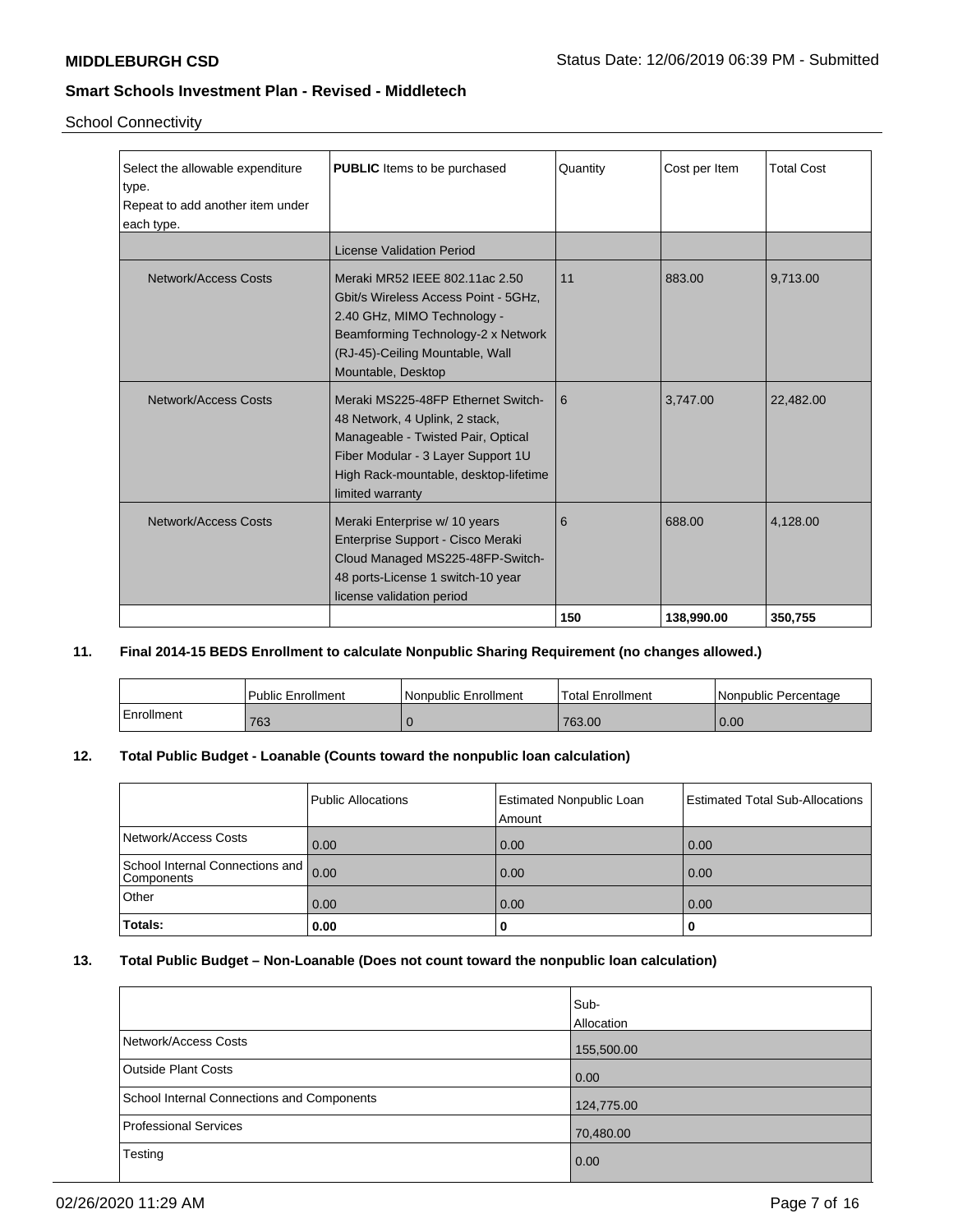School Connectivity

| Select the allowable expenditure | <b>PUBLIC</b> Items to be purchased   | Quantity | Cost per Item | <b>Total Cost</b> |
|----------------------------------|---------------------------------------|----------|---------------|-------------------|
| type.                            |                                       |          |               |                   |
| Repeat to add another item under |                                       |          |               |                   |
| each type.                       |                                       |          |               |                   |
|                                  | License Validation Period             |          |               |                   |
| Network/Access Costs             | Meraki MR52 IEEE 802.11ac 2.50        | 11       | 883.00        | 9,713.00          |
|                                  | Gbit/s Wireless Access Point - 5GHz,  |          |               |                   |
|                                  | 2.40 GHz, MIMO Technology -           |          |               |                   |
|                                  | Beamforming Technology-2 x Network    |          |               |                   |
|                                  | (RJ-45)-Ceiling Mountable, Wall       |          |               |                   |
|                                  | Mountable, Desktop                    |          |               |                   |
|                                  |                                       |          |               |                   |
| Network/Access Costs             | Meraki MS225-48FP Ethernet Switch-    | 6        | 3,747.00      | 22,482.00         |
|                                  | 48 Network, 4 Uplink, 2 stack,        |          |               |                   |
|                                  | Manageable - Twisted Pair, Optical    |          |               |                   |
|                                  | Fiber Modular - 3 Layer Support 1U    |          |               |                   |
|                                  | High Rack-mountable, desktop-lifetime |          |               |                   |
|                                  | limited warranty                      |          |               |                   |
| Network/Access Costs             | Meraki Enterprise w/ 10 years         | 6        | 688.00        | 4,128.00          |
|                                  | Enterprise Support - Cisco Meraki     |          |               |                   |
|                                  |                                       |          |               |                   |
|                                  | Cloud Managed MS225-48FP-Switch-      |          |               |                   |
|                                  | 48 ports-License 1 switch-10 year     |          |               |                   |
|                                  | license validation period             |          |               |                   |
|                                  |                                       | 150      | 138,990.00    | 350.755           |

### **11. Final 2014-15 BEDS Enrollment to calculate Nonpublic Sharing Requirement (no changes allowed.)**

|            | <b>Public Enrollment</b> | l Nonpublic Enrollment | <b>Total Enrollment</b> | l Nonpublic Percentage |
|------------|--------------------------|------------------------|-------------------------|------------------------|
| Enrollment | 763                      |                        | 763.00                  | 0.00                   |

# **12. Total Public Budget - Loanable (Counts toward the nonpublic loan calculation)**

|                                                 | Public Allocations | Estimated Nonpublic Loan<br>Amount | Estimated Total Sub-Allocations |
|-------------------------------------------------|--------------------|------------------------------------|---------------------------------|
| Network/Access Costs                            | 0.00               | 0.00                               | 0.00                            |
| School Internal Connections and  <br>Components | 0.00               | 0.00                               | 0.00                            |
| Other                                           | 0.00               | 0.00                               | 0.00                            |
| Totals:                                         | 0.00               |                                    |                                 |

# **13. Total Public Budget – Non-Loanable (Does not count toward the nonpublic loan calculation)**

|                                            | Sub-<br>Allocation |
|--------------------------------------------|--------------------|
| Network/Access Costs                       | 155,500.00         |
| <b>Outside Plant Costs</b>                 | 0.00               |
| School Internal Connections and Components | 124,775.00         |
| <b>Professional Services</b>               | 70,480.00          |
| Testing                                    | 0.00               |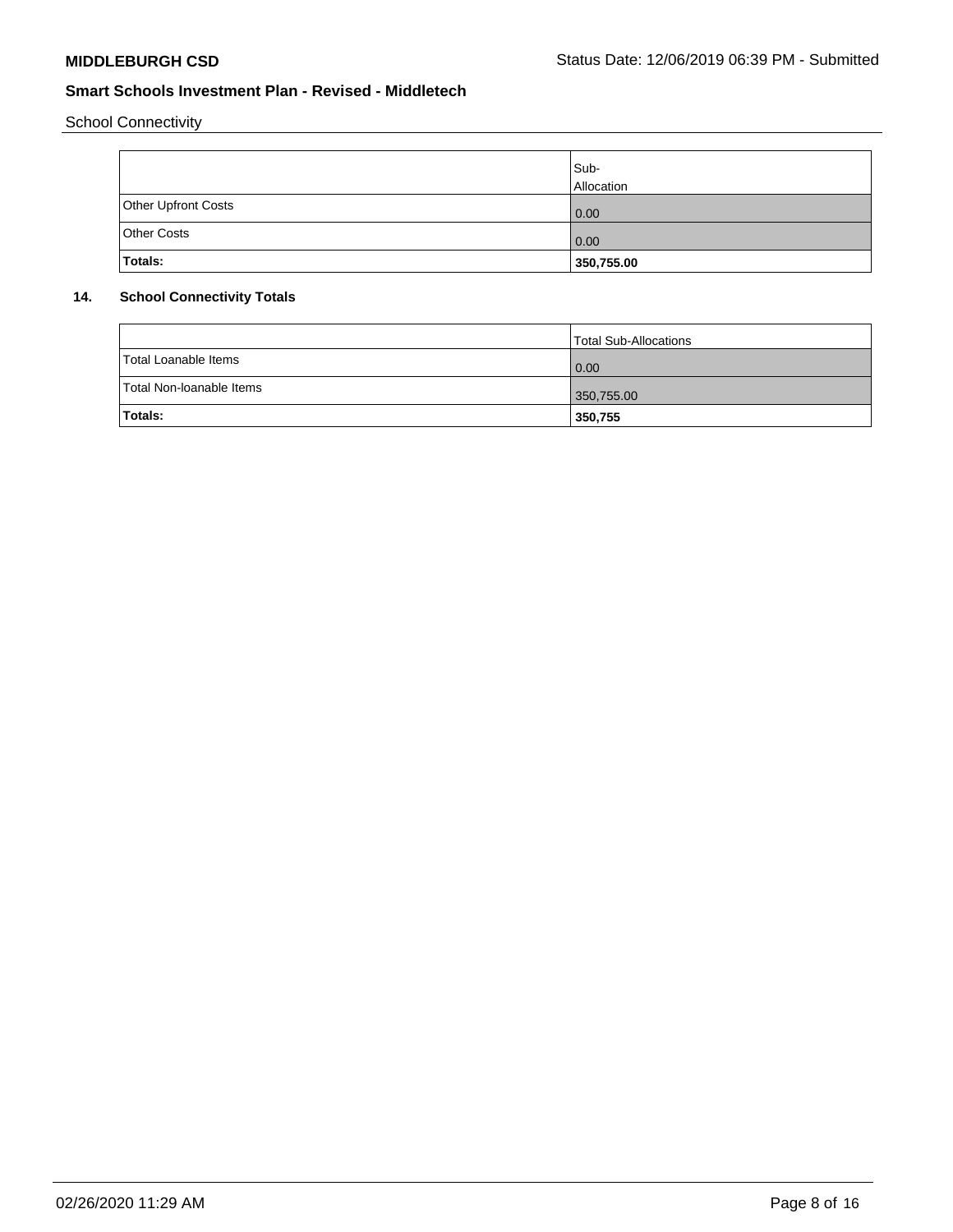School Connectivity

|                     | Sub-<br>Allocation |
|---------------------|--------------------|
| Other Upfront Costs | 0.00               |
| <b>Other Costs</b>  | 0.00               |
| Totals:             | 350,755.00         |

# **14. School Connectivity Totals**

|                          | Total Sub-Allocations |
|--------------------------|-----------------------|
| Total Loanable Items     | $\overline{0.00}$     |
| Total Non-Ioanable Items | 350,755.00            |
| Totals:                  | 350,755               |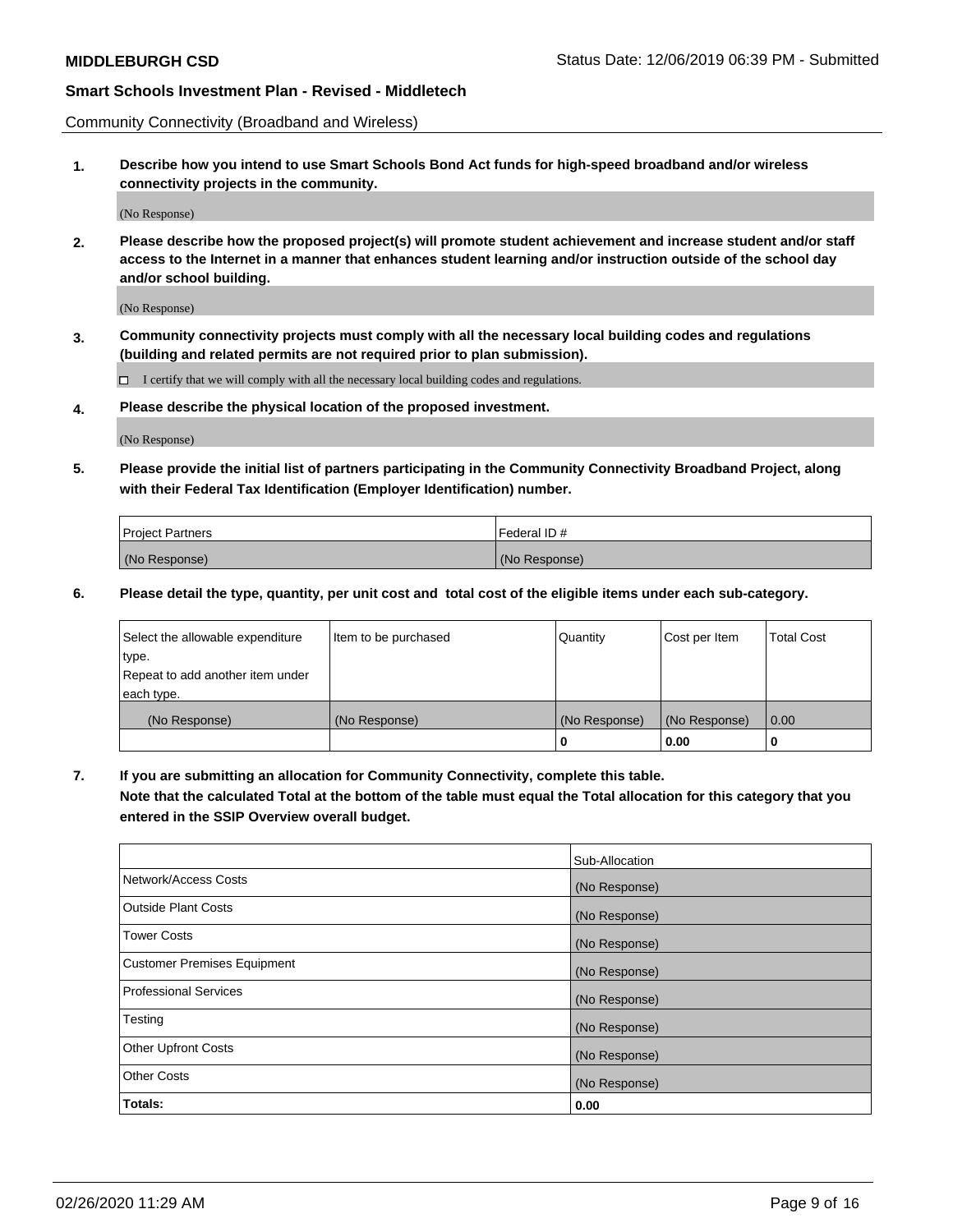Community Connectivity (Broadband and Wireless)

**1. Describe how you intend to use Smart Schools Bond Act funds for high-speed broadband and/or wireless connectivity projects in the community.**

(No Response)

**2. Please describe how the proposed project(s) will promote student achievement and increase student and/or staff access to the Internet in a manner that enhances student learning and/or instruction outside of the school day and/or school building.**

(No Response)

**3. Community connectivity projects must comply with all the necessary local building codes and regulations (building and related permits are not required prior to plan submission).**

 $\Box$  I certify that we will comply with all the necessary local building codes and regulations.

**4. Please describe the physical location of the proposed investment.**

(No Response)

**5. Please provide the initial list of partners participating in the Community Connectivity Broadband Project, along with their Federal Tax Identification (Employer Identification) number.**

| <b>Project Partners</b> | l Federal ID # |
|-------------------------|----------------|
| (No Response)           | (No Response)  |

**6. Please detail the type, quantity, per unit cost and total cost of the eligible items under each sub-category.**

| Select the allowable expenditure | Item to be purchased | Quantity      | Cost per Item | <b>Total Cost</b> |
|----------------------------------|----------------------|---------------|---------------|-------------------|
| type.                            |                      |               |               |                   |
| Repeat to add another item under |                      |               |               |                   |
| each type.                       |                      |               |               |                   |
| (No Response)                    | (No Response)        | (No Response) | (No Response) | 0.00              |
|                                  |                      | o             | 0.00          |                   |

**7. If you are submitting an allocation for Community Connectivity, complete this table.**

**Note that the calculated Total at the bottom of the table must equal the Total allocation for this category that you entered in the SSIP Overview overall budget.**

|                                    | Sub-Allocation |
|------------------------------------|----------------|
| Network/Access Costs               | (No Response)  |
| Outside Plant Costs                | (No Response)  |
| <b>Tower Costs</b>                 | (No Response)  |
| <b>Customer Premises Equipment</b> | (No Response)  |
| <b>Professional Services</b>       | (No Response)  |
| Testing                            | (No Response)  |
| <b>Other Upfront Costs</b>         | (No Response)  |
| <b>Other Costs</b>                 | (No Response)  |
| Totals:                            | 0.00           |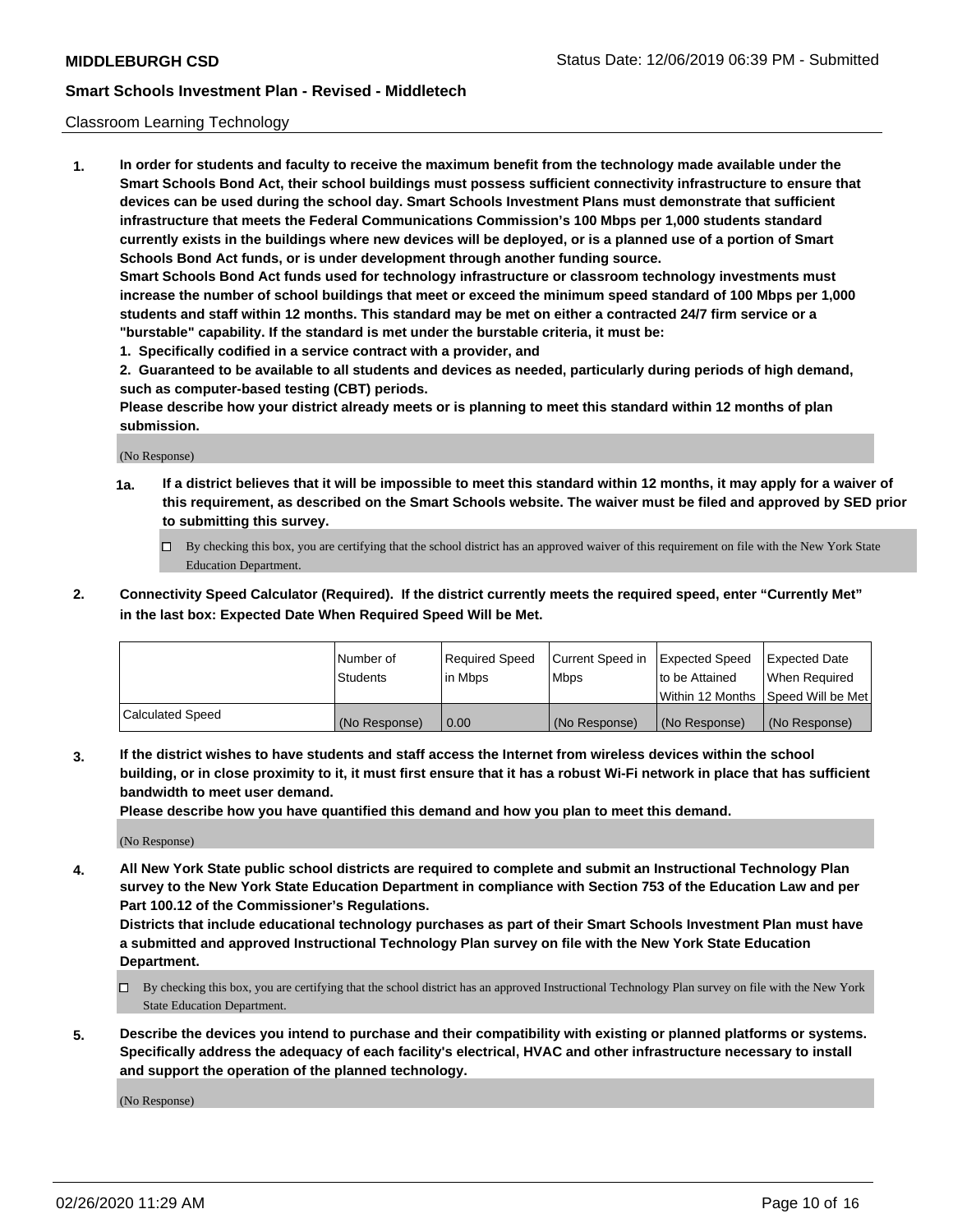#### Classroom Learning Technology

**1. In order for students and faculty to receive the maximum benefit from the technology made available under the Smart Schools Bond Act, their school buildings must possess sufficient connectivity infrastructure to ensure that devices can be used during the school day. Smart Schools Investment Plans must demonstrate that sufficient infrastructure that meets the Federal Communications Commission's 100 Mbps per 1,000 students standard currently exists in the buildings where new devices will be deployed, or is a planned use of a portion of Smart Schools Bond Act funds, or is under development through another funding source. Smart Schools Bond Act funds used for technology infrastructure or classroom technology investments must increase the number of school buildings that meet or exceed the minimum speed standard of 100 Mbps per 1,000 students and staff within 12 months. This standard may be met on either a contracted 24/7 firm service or a "burstable" capability. If the standard is met under the burstable criteria, it must be:**

**1. Specifically codified in a service contract with a provider, and**

**2. Guaranteed to be available to all students and devices as needed, particularly during periods of high demand, such as computer-based testing (CBT) periods.**

**Please describe how your district already meets or is planning to meet this standard within 12 months of plan submission.**

(No Response)

- **1a. If a district believes that it will be impossible to meet this standard within 12 months, it may apply for a waiver of this requirement, as described on the Smart Schools website. The waiver must be filed and approved by SED prior to submitting this survey.**
	- By checking this box, you are certifying that the school district has an approved waiver of this requirement on file with the New York State Education Department.
- **2. Connectivity Speed Calculator (Required). If the district currently meets the required speed, enter "Currently Met" in the last box: Expected Date When Required Speed Will be Met.**

|                  | l Number of     | Required Speed | Current Speed in | <b>Expected Speed</b> | <b>Expected Date</b>                |
|------------------|-----------------|----------------|------------------|-----------------------|-------------------------------------|
|                  | <b>Students</b> | l in Mbps      | l Mbps           | to be Attained        | When Required                       |
|                  |                 |                |                  |                       | Within 12 Months  Speed Will be Met |
| Calculated Speed | (No Response)   | 0.00           | (No Response)    | l (No Response)       | (No Response)                       |

**3. If the district wishes to have students and staff access the Internet from wireless devices within the school building, or in close proximity to it, it must first ensure that it has a robust Wi-Fi network in place that has sufficient bandwidth to meet user demand.**

**Please describe how you have quantified this demand and how you plan to meet this demand.**

(No Response)

**4. All New York State public school districts are required to complete and submit an Instructional Technology Plan survey to the New York State Education Department in compliance with Section 753 of the Education Law and per Part 100.12 of the Commissioner's Regulations.**

**Districts that include educational technology purchases as part of their Smart Schools Investment Plan must have a submitted and approved Instructional Technology Plan survey on file with the New York State Education Department.**

- By checking this box, you are certifying that the school district has an approved Instructional Technology Plan survey on file with the New York State Education Department.
- **5. Describe the devices you intend to purchase and their compatibility with existing or planned platforms or systems. Specifically address the adequacy of each facility's electrical, HVAC and other infrastructure necessary to install and support the operation of the planned technology.**

(No Response)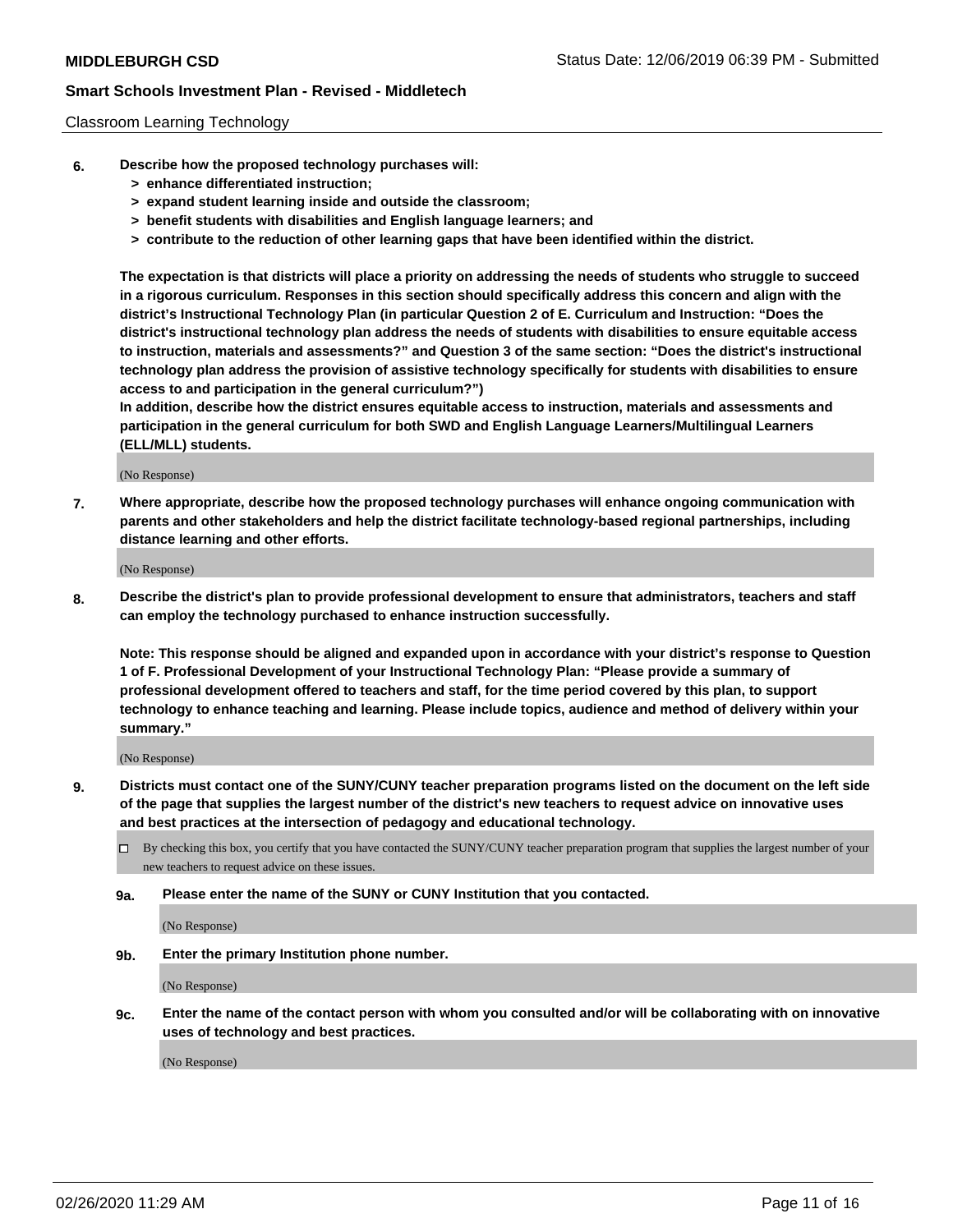#### Classroom Learning Technology

- **6. Describe how the proposed technology purchases will:**
	- **> enhance differentiated instruction;**
	- **> expand student learning inside and outside the classroom;**
	- **> benefit students with disabilities and English language learners; and**
	- **> contribute to the reduction of other learning gaps that have been identified within the district.**

**The expectation is that districts will place a priority on addressing the needs of students who struggle to succeed in a rigorous curriculum. Responses in this section should specifically address this concern and align with the district's Instructional Technology Plan (in particular Question 2 of E. Curriculum and Instruction: "Does the district's instructional technology plan address the needs of students with disabilities to ensure equitable access to instruction, materials and assessments?" and Question 3 of the same section: "Does the district's instructional technology plan address the provision of assistive technology specifically for students with disabilities to ensure access to and participation in the general curriculum?")**

**In addition, describe how the district ensures equitable access to instruction, materials and assessments and participation in the general curriculum for both SWD and English Language Learners/Multilingual Learners (ELL/MLL) students.**

(No Response)

**7. Where appropriate, describe how the proposed technology purchases will enhance ongoing communication with parents and other stakeholders and help the district facilitate technology-based regional partnerships, including distance learning and other efforts.**

(No Response)

**8. Describe the district's plan to provide professional development to ensure that administrators, teachers and staff can employ the technology purchased to enhance instruction successfully.**

**Note: This response should be aligned and expanded upon in accordance with your district's response to Question 1 of F. Professional Development of your Instructional Technology Plan: "Please provide a summary of professional development offered to teachers and staff, for the time period covered by this plan, to support technology to enhance teaching and learning. Please include topics, audience and method of delivery within your summary."**

(No Response)

- **9. Districts must contact one of the SUNY/CUNY teacher preparation programs listed on the document on the left side of the page that supplies the largest number of the district's new teachers to request advice on innovative uses and best practices at the intersection of pedagogy and educational technology.**
	- By checking this box, you certify that you have contacted the SUNY/CUNY teacher preparation program that supplies the largest number of your new teachers to request advice on these issues.
	- **9a. Please enter the name of the SUNY or CUNY Institution that you contacted.**

(No Response)

**9b. Enter the primary Institution phone number.**

(No Response)

**9c. Enter the name of the contact person with whom you consulted and/or will be collaborating with on innovative uses of technology and best practices.**

(No Response)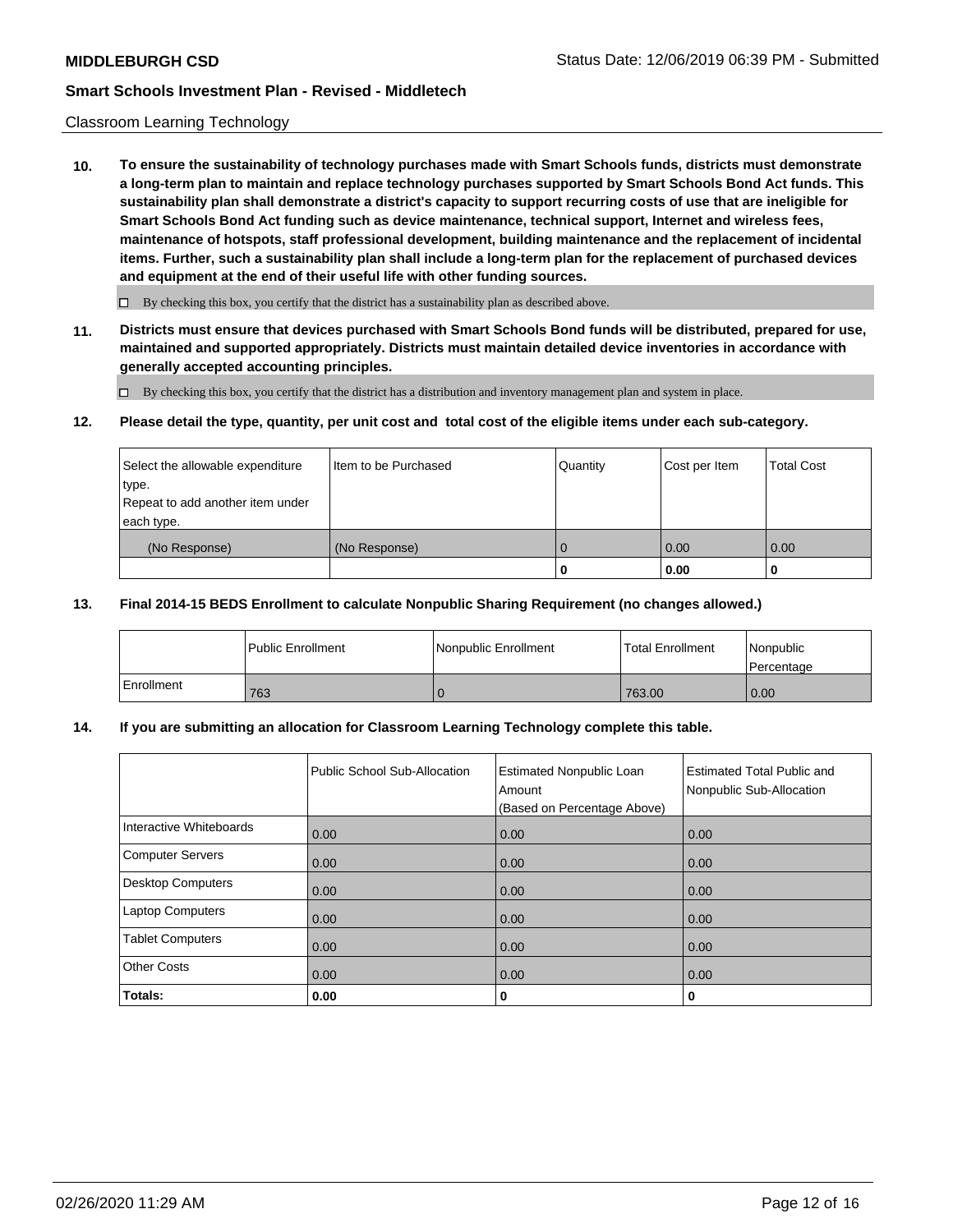#### Classroom Learning Technology

**10. To ensure the sustainability of technology purchases made with Smart Schools funds, districts must demonstrate a long-term plan to maintain and replace technology purchases supported by Smart Schools Bond Act funds. This sustainability plan shall demonstrate a district's capacity to support recurring costs of use that are ineligible for Smart Schools Bond Act funding such as device maintenance, technical support, Internet and wireless fees, maintenance of hotspots, staff professional development, building maintenance and the replacement of incidental items. Further, such a sustainability plan shall include a long-term plan for the replacement of purchased devices and equipment at the end of their useful life with other funding sources.**

 $\Box$  By checking this box, you certify that the district has a sustainability plan as described above.

**11. Districts must ensure that devices purchased with Smart Schools Bond funds will be distributed, prepared for use, maintained and supported appropriately. Districts must maintain detailed device inventories in accordance with generally accepted accounting principles.**

By checking this box, you certify that the district has a distribution and inventory management plan and system in place.

#### **12. Please detail the type, quantity, per unit cost and total cost of the eligible items under each sub-category.**

| Select the allowable expenditure<br>type.<br>Repeat to add another item under | Iltem to be Purchased | Quantity | Cost per Item | <b>Total Cost</b> |
|-------------------------------------------------------------------------------|-----------------------|----------|---------------|-------------------|
| each type.<br>(No Response)                                                   | (No Response)         |          | 10.00         | 0.00              |
|                                                                               |                       | 0        | 0.00          |                   |

#### **13. Final 2014-15 BEDS Enrollment to calculate Nonpublic Sharing Requirement (no changes allowed.)**

|              | Public Enrollment | Nonpublic Enrollment | <b>Total Enrollment</b> | l Nonpublic<br>l Percentage |
|--------------|-------------------|----------------------|-------------------------|-----------------------------|
| l Enrollment | 763               |                      | 763.00                  | 0.00                        |

### **14. If you are submitting an allocation for Classroom Learning Technology complete this table.**

|                          | Public School Sub-Allocation | <b>Estimated Nonpublic Loan</b><br>Amount<br>(Based on Percentage Above) | <b>Estimated Total Public and</b><br>Nonpublic Sub-Allocation |
|--------------------------|------------------------------|--------------------------------------------------------------------------|---------------------------------------------------------------|
| Interactive Whiteboards  | 0.00                         | 0.00                                                                     | 0.00                                                          |
| Computer Servers         | 0.00                         | 0.00                                                                     | 0.00                                                          |
| <b>Desktop Computers</b> | 0.00                         | 0.00                                                                     | 0.00                                                          |
| <b>Laptop Computers</b>  | 0.00                         | 0.00                                                                     | 0.00                                                          |
| <b>Tablet Computers</b>  | 0.00                         | 0.00                                                                     | 0.00                                                          |
| <b>Other Costs</b>       | 0.00                         | 0.00                                                                     | 0.00                                                          |
| Totals:                  | 0.00                         | 0                                                                        | 0                                                             |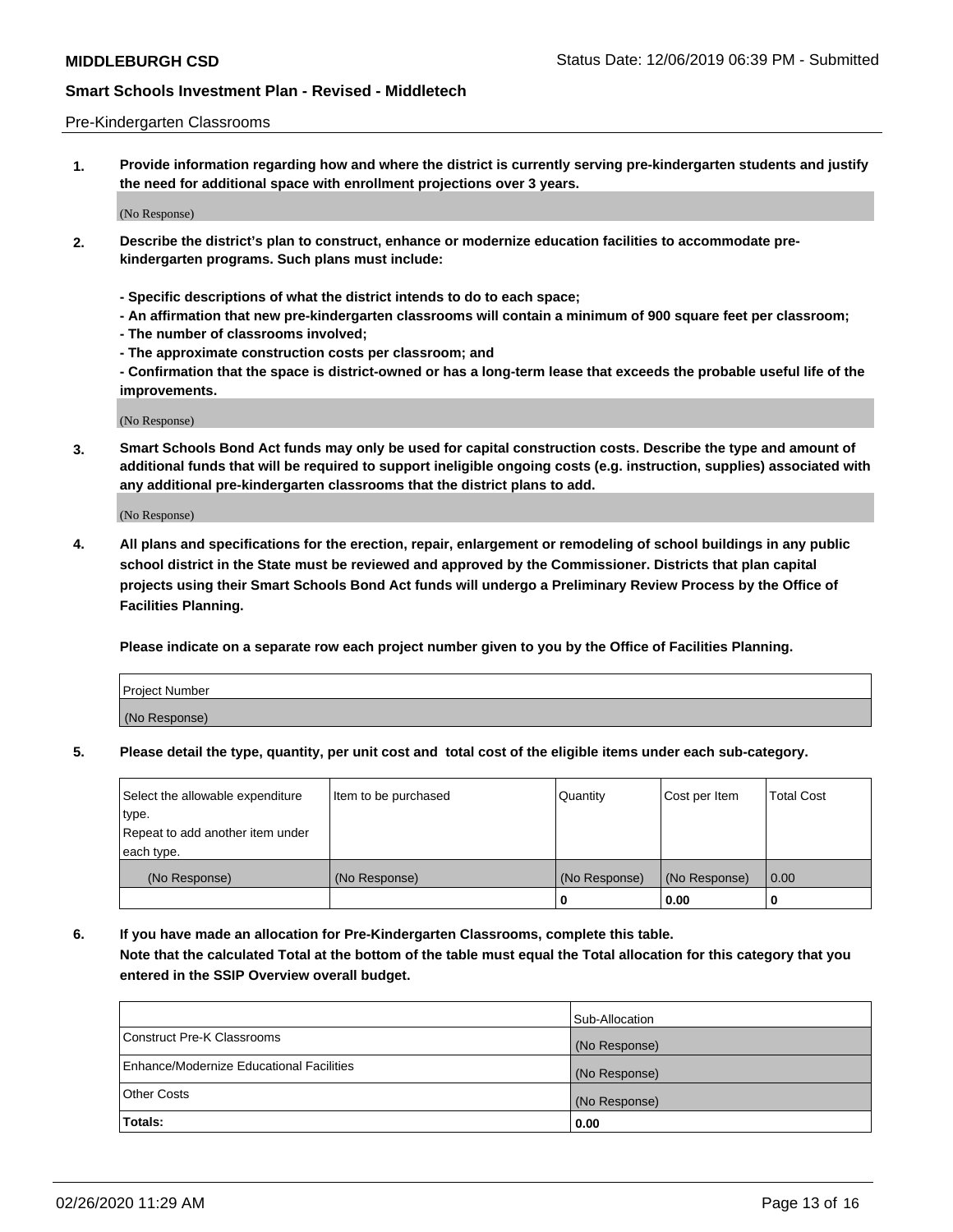#### Pre-Kindergarten Classrooms

**1. Provide information regarding how and where the district is currently serving pre-kindergarten students and justify the need for additional space with enrollment projections over 3 years.**

(No Response)

- **2. Describe the district's plan to construct, enhance or modernize education facilities to accommodate prekindergarten programs. Such plans must include:**
	- **Specific descriptions of what the district intends to do to each space;**
	- **An affirmation that new pre-kindergarten classrooms will contain a minimum of 900 square feet per classroom;**
	- **The number of classrooms involved;**
	- **The approximate construction costs per classroom; and**
	- **Confirmation that the space is district-owned or has a long-term lease that exceeds the probable useful life of the improvements.**

(No Response)

**3. Smart Schools Bond Act funds may only be used for capital construction costs. Describe the type and amount of additional funds that will be required to support ineligible ongoing costs (e.g. instruction, supplies) associated with any additional pre-kindergarten classrooms that the district plans to add.**

(No Response)

**4. All plans and specifications for the erection, repair, enlargement or remodeling of school buildings in any public school district in the State must be reviewed and approved by the Commissioner. Districts that plan capital projects using their Smart Schools Bond Act funds will undergo a Preliminary Review Process by the Office of Facilities Planning.**

**Please indicate on a separate row each project number given to you by the Office of Facilities Planning.**

| Project Number |  |
|----------------|--|
| (No Response)  |  |
|                |  |

**5. Please detail the type, quantity, per unit cost and total cost of the eligible items under each sub-category.**

| Select the allowable expenditure | Item to be purchased | Quantity      | Cost per Item | <b>Total Cost</b> |
|----------------------------------|----------------------|---------------|---------------|-------------------|
| type.                            |                      |               |               |                   |
| Repeat to add another item under |                      |               |               |                   |
| each type.                       |                      |               |               |                   |
| (No Response)                    | (No Response)        | (No Response) | (No Response) | 0.00              |
|                                  |                      | υ             | 0.00          |                   |

**6. If you have made an allocation for Pre-Kindergarten Classrooms, complete this table. Note that the calculated Total at the bottom of the table must equal the Total allocation for this category that you entered in the SSIP Overview overall budget.**

|                                          | Sub-Allocation |
|------------------------------------------|----------------|
| Construct Pre-K Classrooms               | (No Response)  |
| Enhance/Modernize Educational Facilities | (No Response)  |
| <b>Other Costs</b>                       | (No Response)  |
| Totals:                                  | 0.00           |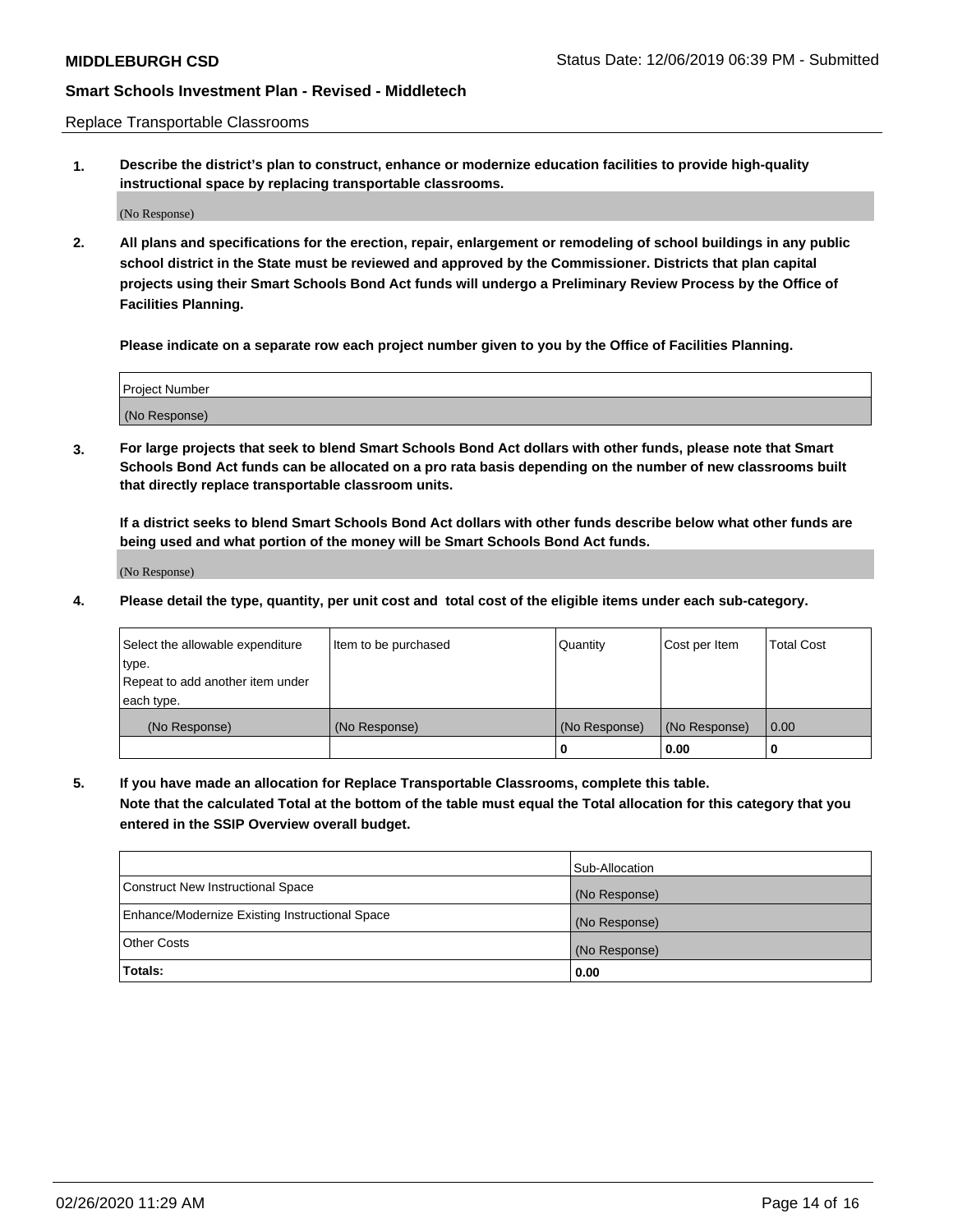Replace Transportable Classrooms

**1. Describe the district's plan to construct, enhance or modernize education facilities to provide high-quality instructional space by replacing transportable classrooms.**

(No Response)

**2. All plans and specifications for the erection, repair, enlargement or remodeling of school buildings in any public school district in the State must be reviewed and approved by the Commissioner. Districts that plan capital projects using their Smart Schools Bond Act funds will undergo a Preliminary Review Process by the Office of Facilities Planning.**

**Please indicate on a separate row each project number given to you by the Office of Facilities Planning.**

| Project Number |  |
|----------------|--|
|                |  |
|                |  |
|                |  |
|                |  |
| (No Response)  |  |
|                |  |
|                |  |
|                |  |

**3. For large projects that seek to blend Smart Schools Bond Act dollars with other funds, please note that Smart Schools Bond Act funds can be allocated on a pro rata basis depending on the number of new classrooms built that directly replace transportable classroom units.**

**If a district seeks to blend Smart Schools Bond Act dollars with other funds describe below what other funds are being used and what portion of the money will be Smart Schools Bond Act funds.**

(No Response)

**4. Please detail the type, quantity, per unit cost and total cost of the eligible items under each sub-category.**

| Select the allowable expenditure | Item to be purchased | Quantity      | Cost per Item | Total Cost |
|----------------------------------|----------------------|---------------|---------------|------------|
| ∣type.                           |                      |               |               |            |
| Repeat to add another item under |                      |               |               |            |
| each type.                       |                      |               |               |            |
| (No Response)                    | (No Response)        | (No Response) | (No Response) | 0.00       |
|                                  |                      | u             | 0.00          |            |

**5. If you have made an allocation for Replace Transportable Classrooms, complete this table. Note that the calculated Total at the bottom of the table must equal the Total allocation for this category that you entered in the SSIP Overview overall budget.**

|                                                | Sub-Allocation |
|------------------------------------------------|----------------|
| Construct New Instructional Space              | (No Response)  |
| Enhance/Modernize Existing Instructional Space | (No Response)  |
| Other Costs                                    | (No Response)  |
| Totals:                                        | 0.00           |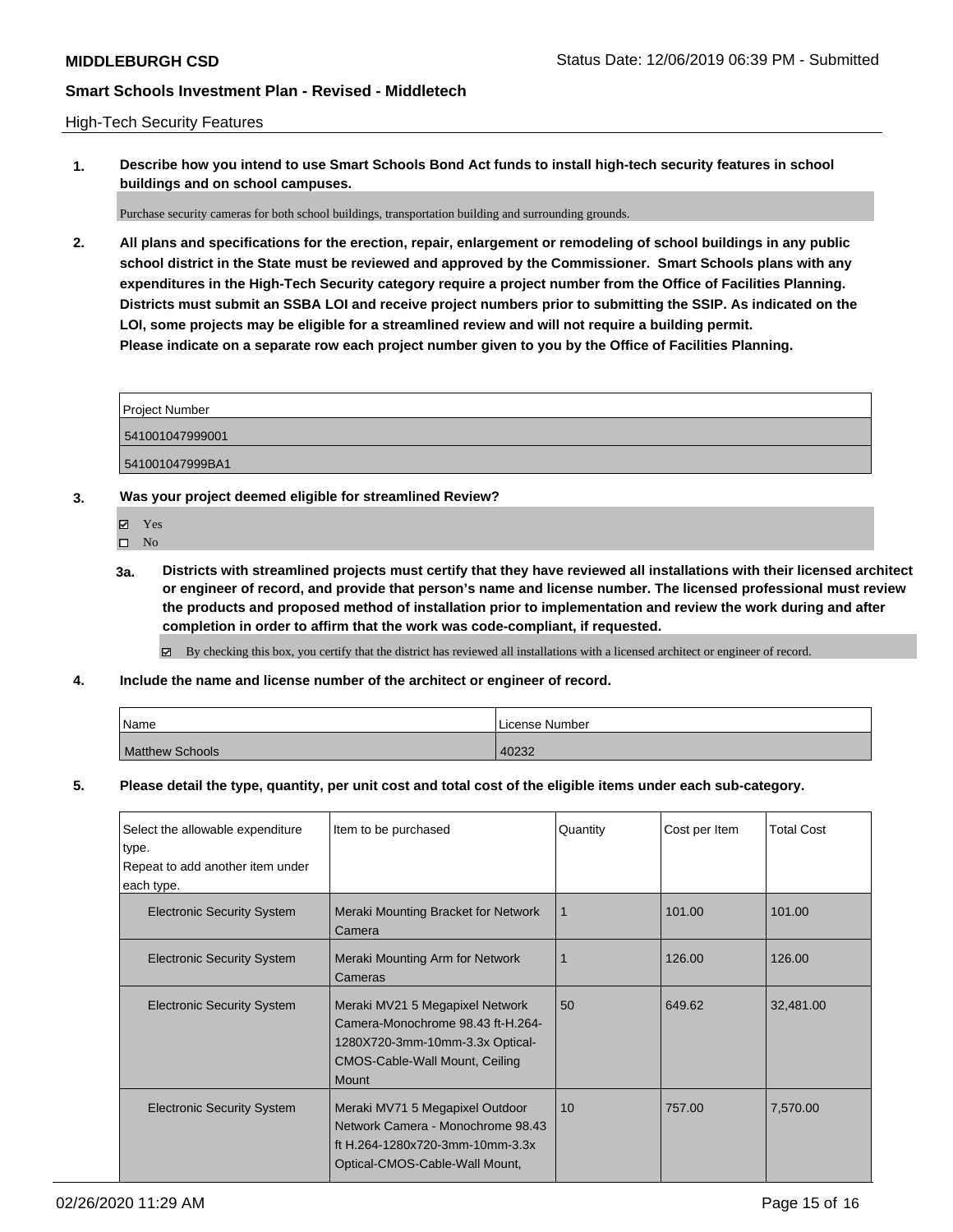High-Tech Security Features

**1. Describe how you intend to use Smart Schools Bond Act funds to install high-tech security features in school buildings and on school campuses.**

Purchase security cameras for both school buildings, transportation building and surrounding grounds.

**2. All plans and specifications for the erection, repair, enlargement or remodeling of school buildings in any public school district in the State must be reviewed and approved by the Commissioner. Smart Schools plans with any expenditures in the High-Tech Security category require a project number from the Office of Facilities Planning. Districts must submit an SSBA LOI and receive project numbers prior to submitting the SSIP. As indicated on the LOI, some projects may be eligible for a streamlined review and will not require a building permit. Please indicate on a separate row each project number given to you by the Office of Facilities Planning.**

| Project Number  |  |
|-----------------|--|
| 541001047999001 |  |
| 541001047999BA1 |  |

**3. Was your project deemed eligible for streamlined Review?**

Yes

 $\square$  No

**3a. Districts with streamlined projects must certify that they have reviewed all installations with their licensed architect or engineer of record, and provide that person's name and license number. The licensed professional must review the products and proposed method of installation prior to implementation and review the work during and after completion in order to affirm that the work was code-compliant, if requested.**

By checking this box, you certify that the district has reviewed all installations with a licensed architect or engineer of record.

**4. Include the name and license number of the architect or engineer of record.**

| Name                   | License Number |
|------------------------|----------------|
| <b>Matthew Schools</b> | 40232          |

**5. Please detail the type, quantity, per unit cost and total cost of the eligible items under each sub-category.**

| Select the allowable expenditure          | Item to be purchased                                                                                                                                      | Quantity | Cost per Item | <b>Total Cost</b> |
|-------------------------------------------|-----------------------------------------------------------------------------------------------------------------------------------------------------------|----------|---------------|-------------------|
| type.<br>Repeat to add another item under |                                                                                                                                                           |          |               |                   |
| each type.                                |                                                                                                                                                           |          |               |                   |
| <b>Electronic Security System</b>         | Meraki Mounting Bracket for Network<br>Camera                                                                                                             | 1        | 101.00        | 101.00            |
| <b>Electronic Security System</b>         | Meraki Mounting Arm for Network<br>Cameras                                                                                                                | 1        | 126.00        | 126.00            |
| <b>Electronic Security System</b>         | Meraki MV21 5 Megapixel Network<br>Camera-Monochrome 98.43 ft-H.264-<br>1280X720-3mm-10mm-3.3x Optical-<br>CMOS-Cable-Wall Mount, Ceiling<br><b>Mount</b> | 50       | 649.62        | 32,481.00         |
| <b>Electronic Security System</b>         | Meraki MV71 5 Megapixel Outdoor<br>Network Camera - Monochrome 98.43<br>ft H.264-1280x720-3mm-10mm-3.3x<br>Optical-CMOS-Cable-Wall Mount,                 | 10       | 757.00        | 7,570.00          |